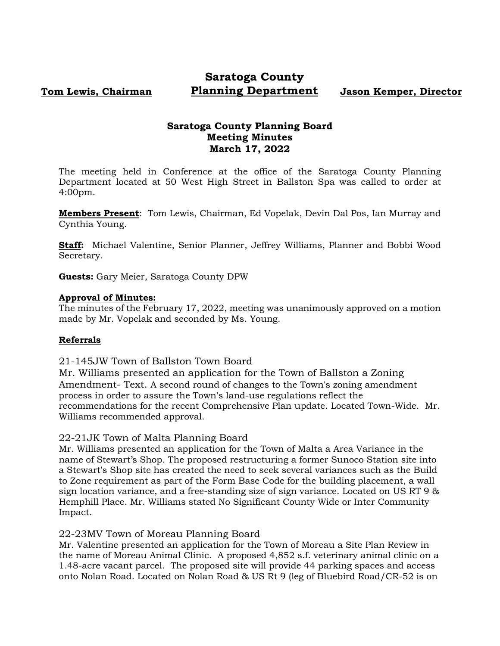# **Tom Lewis, Chairman**

# **Saratoga County Planning Department Jason Kemper, Director**

# **Saratoga County Planning Board Meeting Minutes March 17, 2022**

The meeting held in Conference at the office of the Saratoga County Planning Department located at 50 West High Street in Ballston Spa was called to order at 4:00pm.

**Members Present**: Tom Lewis, Chairman, Ed Vopelak, Devin Dal Pos, Ian Murray and Cynthia Young.

**Staff:** Michael Valentine, Senior Planner, Jeffrey Williams, Planner and Bobbi Wood Secretary.

**Guests:** Gary Meier, Saratoga County DPW

#### **Approval of Minutes:**

The minutes of the February 17, 2022, meeting was unanimously approved on a motion made by Mr. Vopelak and seconded by Ms. Young.

### **Referrals**

21-145JW Town of Ballston Town Board

Mr. Williams presented an application for the Town of Ballston a Zoning Amendment- Text. A second round of changes to the Town's zoning amendment process in order to assure the Town's land-use regulations reflect the recommendations for the recent Comprehensive Plan update. Located Town-Wide. Mr. Williams recommended approval.

### 22-21JK Town of Malta Planning Board

Mr. Williams presented an application for the Town of Malta a Area Variance in the name of Stewart's Shop. The proposed restructuring a former Sunoco Station site into a Stewart's Shop site has created the need to seek several variances such as the Build to Zone requirement as part of the Form Base Code for the building placement, a wall sign location variance, and a free-standing size of sign variance. Located on US RT 9 & Hemphill Place. Mr. Williams stated No Significant County Wide or Inter Community Impact.

### 22-23MV Town of Moreau Planning Board

Mr. Valentine presented an application for the Town of Moreau a Site Plan Review in the name of Moreau Animal Clinic. A proposed 4,852 s.f. veterinary animal clinic on a 1.48-acre vacant parcel. The proposed site will provide 44 parking spaces and access onto Nolan Road. Located on Nolan Road & US Rt 9 (leg of Bluebird Road/CR-52 is on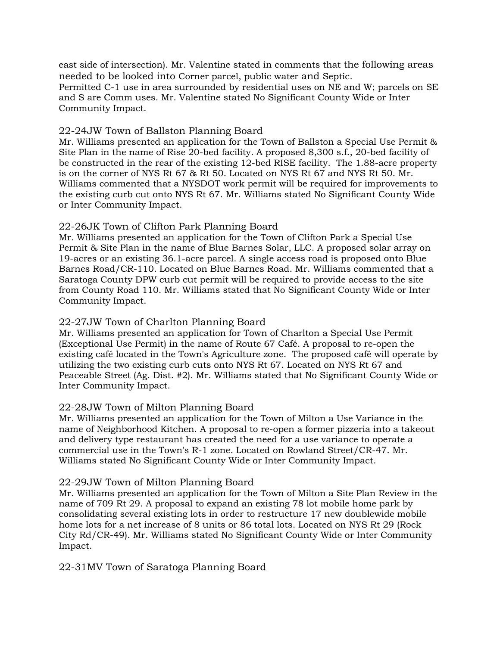east side of intersection). Mr. Valentine stated in comments that the following areas needed to be looked into Corner parcel, public water and Septic. Permitted C-1 use in area surrounded by residential uses on NE and W; parcels on SE and S are Comm uses. Mr. Valentine stated No Significant County Wide or Inter Community Impact.

#### 22-24JW Town of Ballston Planning Board

Mr. Williams presented an application for the Town of Ballston a Special Use Permit & Site Plan in the name of Rise 20-bed facility. A proposed 8,300 s.f., 20-bed facility of be constructed in the rear of the existing 12-bed RISE facility. The 1.88-acre property is on the corner of NYS Rt 67 & Rt 50. Located on NYS Rt 67 and NYS Rt 50. Mr. Williams commented that a NYSDOT work permit will be required for improvements to the existing curb cut onto NYS Rt 67. Mr. Williams stated No Significant County Wide or Inter Community Impact.

### 22-26JK Town of Clifton Park Planning Board

Mr. Williams presented an application for the Town of Clifton Park a Special Use Permit & Site Plan in the name of Blue Barnes Solar, LLC. A proposed solar array on 19-acres or an existing 36.1-acre parcel. A single access road is proposed onto Blue Barnes Road/CR-110. Located on Blue Barnes Road. Mr. Williams commented that a Saratoga County DPW curb cut permit will be required to provide access to the site from County Road 110. Mr. Williams stated that No Significant County Wide or Inter Community Impact.

#### 22-27JW Town of Charlton Planning Board

Mr. Williams presented an application for Town of Charlton a Special Use Permit (Exceptional Use Permit) in the name of Route 67 Café. A proposal to re-open the existing café located in the Town's Agriculture zone. The proposed café will operate by utilizing the two existing curb cuts onto NYS Rt 67. Located on NYS Rt 67 and Peaceable Street (Ag. Dist. #2). Mr. Williams stated that No Significant County Wide or Inter Community Impact.

### 22-28JW Town of Milton Planning Board

Mr. Williams presented an application for the Town of Milton a Use Variance in the name of Neighborhood Kitchen. A proposal to re-open a former pizzeria into a takeout and delivery type restaurant has created the need for a use variance to operate a commercial use in the Town's R-1 zone. Located on Rowland Street/CR-47. Mr. Williams stated No Significant County Wide or Inter Community Impact.

#### 22-29JW Town of Milton Planning Board

Mr. Williams presented an application for the Town of Milton a Site Plan Review in the name of 709 Rt 29. A proposal to expand an existing 78 lot mobile home park by consolidating several existing lots in order to restructure 17 new doublewide mobile home lots for a net increase of 8 units or 86 total lots. Located on NYS Rt 29 (Rock City Rd/CR-49). Mr. Williams stated No Significant County Wide or Inter Community Impact.

### 22-31MV Town of Saratoga Planning Board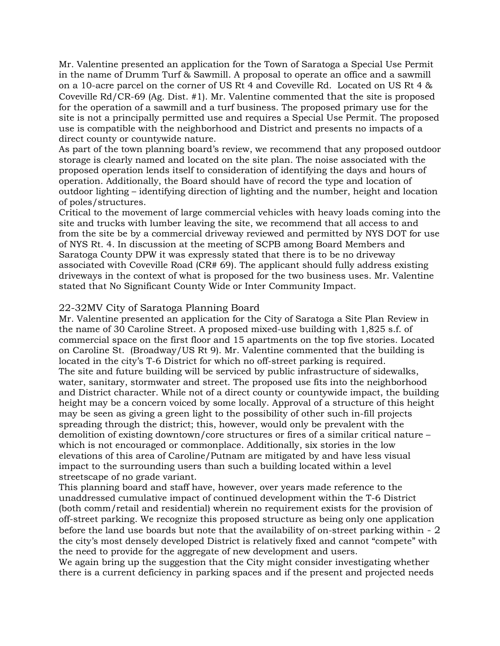Mr. Valentine presented an application for the Town of Saratoga a Special Use Permit in the name of Drumm Turf & Sawmill. A proposal to operate an office and a sawmill on a 10-acre parcel on the corner of US Rt 4 and Coveville Rd. Located on US Rt 4 & Coveville Rd/CR-69 (Ag. Dist. #1). Mr. Valentine commented that the site is proposed for the operation of a sawmill and a turf business. The proposed primary use for the site is not a principally permitted use and requires a Special Use Permit. The proposed use is compatible with the neighborhood and District and presents no impacts of a direct county or countywide nature.

As part of the town planning board's review, we recommend that any proposed outdoor storage is clearly named and located on the site plan. The noise associated with the proposed operation lends itself to consideration of identifying the days and hours of operation. Additionally, the Board should have of record the type and location of outdoor lighting – identifying direction of lighting and the number, height and location of poles/structures.

Critical to the movement of large commercial vehicles with heavy loads coming into the site and trucks with lumber leaving the site, we recommend that all access to and from the site be by a commercial driveway reviewed and permitted by NYS DOT for use of NYS Rt. 4. In discussion at the meeting of SCPB among Board Members and Saratoga County DPW it was expressly stated that there is to be no driveway associated with Coveville Road (CR# 69). The applicant should fully address existing driveways in the context of what is proposed for the two business uses. Mr. Valentine stated that No Significant County Wide or Inter Community Impact.

#### 22-32MV City of Saratoga Planning Board

Mr. Valentine presented an application for the City of Saratoga a Site Plan Review in the name of 30 Caroline Street. A proposed mixed-use building with 1,825 s.f. of commercial space on the first floor and 15 apartments on the top five stories. Located on Caroline St. (Broadway/US Rt 9). Mr. Valentine commented that the building is located in the city's T-6 District for which no off-street parking is required. The site and future building will be serviced by public infrastructure of sidewalks, water, sanitary, stormwater and street. The proposed use fits into the neighborhood and District character. While not of a direct county or countywide impact, the building height may be a concern voiced by some locally. Approval of a structure of this height may be seen as giving a green light to the possibility of other such in-fill projects spreading through the district; this, however, would only be prevalent with the demolition of existing downtown/core structures or fires of a similar critical nature – which is not encouraged or commonplace. Additionally, six stories in the low elevations of this area of Caroline/Putnam are mitigated by and have less visual impact to the surrounding users than such a building located within a level streetscape of no grade variant.

This planning board and staff have, however, over years made reference to the unaddressed cumulative impact of continued development within the T-6 District (both comm/retail and residential) wherein no requirement exists for the provision of off-street parking. We recognize this proposed structure as being only one application before the land use boards but note that the availability of on-street parking within - 2 the city's most densely developed District is relatively fixed and cannot "compete" with the need to provide for the aggregate of new development and users.

We again bring up the suggestion that the City might consider investigating whether there is a current deficiency in parking spaces and if the present and projected needs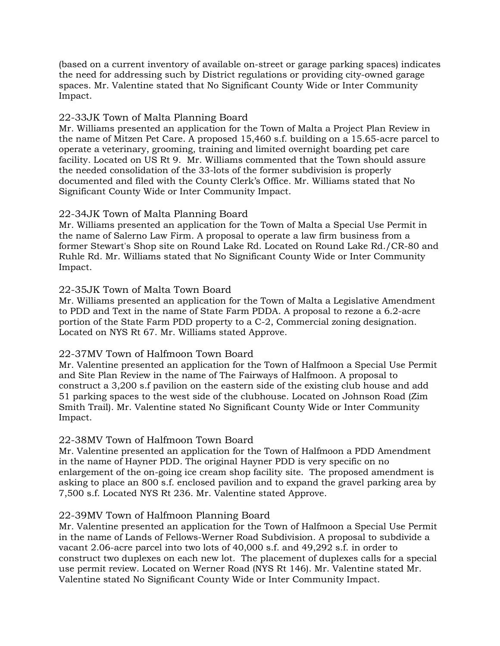(based on a current inventory of available on-street or garage parking spaces) indicates the need for addressing such by District regulations or providing city-owned garage spaces. Mr. Valentine stated that No Significant County Wide or Inter Community Impact.

## 22-33JK Town of Malta Planning Board

Mr. Williams presented an application for the Town of Malta a Project Plan Review in the name of Mitzen Pet Care. A proposed 15,460 s.f. building on a 15.65-acre parcel to operate a veterinary, grooming, training and limited overnight boarding pet care facility. Located on US Rt 9. Mr. Williams commented that the Town should assure the needed consolidation of the 33-lots of the former subdivision is properly documented and filed with the County Clerk's Office. Mr. Williams stated that No Significant County Wide or Inter Community Impact.

### 22-34JK Town of Malta Planning Board

Mr. Williams presented an application for the Town of Malta a Special Use Permit in the name of Salerno Law Firm. A proposal to operate a law firm business from a former Stewart's Shop site on Round Lake Rd. Located on Round Lake Rd./CR-80 and Ruhle Rd. Mr. Williams stated that No Significant County Wide or Inter Community Impact.

## 22-35JK Town of Malta Town Board

Mr. Williams presented an application for the Town of Malta a Legislative Amendment to PDD and Text in the name of State Farm PDDA. A proposal to rezone a 6.2-acre portion of the State Farm PDD property to a C-2, Commercial zoning designation. Located on NYS Rt 67. Mr. Williams stated Approve.

# 22-37MV Town of Halfmoon Town Board

Mr. Valentine presented an application for the Town of Halfmoon a Special Use Permit and Site Plan Review in the name of The Fairways of Halfmoon. A proposal to construct a 3,200 s.f pavilion on the eastern side of the existing club house and add 51 parking spaces to the west side of the clubhouse. Located on Johnson Road (Zim Smith Trail). Mr. Valentine stated No Significant County Wide or Inter Community Impact.

# 22-38MV Town of Halfmoon Town Board

Mr. Valentine presented an application for the Town of Halfmoon a PDD Amendment in the name of Hayner PDD. The original Hayner PDD is very specific on no enlargement of the on-going ice cream shop facility site. The proposed amendment is asking to place an 800 s.f. enclosed pavilion and to expand the gravel parking area by 7,500 s.f. Located NYS Rt 236. Mr. Valentine stated Approve.

# 22-39MV Town of Halfmoon Planning Board

Mr. Valentine presented an application for the Town of Halfmoon a Special Use Permit in the name of Lands of Fellows-Werner Road Subdivision. A proposal to subdivide a vacant 2.06-acre parcel into two lots of 40,000 s.f. and 49,292 s.f. in order to construct two duplexes on each new lot. The placement of duplexes calls for a special use permit review. Located on Werner Road (NYS Rt 146). Mr. Valentine stated Mr. Valentine stated No Significant County Wide or Inter Community Impact.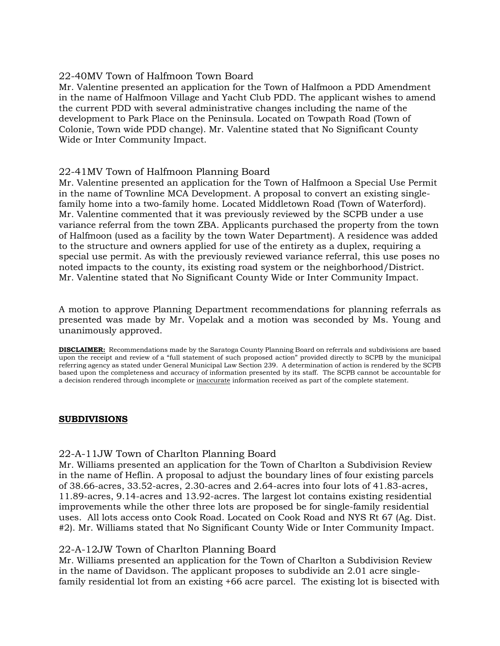## 22-40MV Town of Halfmoon Town Board

Mr. Valentine presented an application for the Town of Halfmoon a PDD Amendment in the name of Halfmoon Village and Yacht Club PDD. The applicant wishes to amend the current PDD with several administrative changes including the name of the development to Park Place on the Peninsula. Located on Towpath Road (Town of Colonie, Town wide PDD change). Mr. Valentine stated that No Significant County Wide or Inter Community Impact.

## 22-41MV Town of Halfmoon Planning Board

Mr. Valentine presented an application for the Town of Halfmoon a Special Use Permit in the name of Townline MCA Development. A proposal to convert an existing singlefamily home into a two-family home. Located Middletown Road (Town of Waterford). Mr. Valentine commented that it was previously reviewed by the SCPB under a use variance referral from the town ZBA. Applicants purchased the property from the town of Halfmoon (used as a facility by the town Water Department). A residence was added to the structure and owners applied for use of the entirety as a duplex, requiring a special use permit. As with the previously reviewed variance referral, this use poses no noted impacts to the county, its existing road system or the neighborhood/District. Mr. Valentine stated that No Significant County Wide or Inter Community Impact.

A motion to approve Planning Department recommendations for planning referrals as presented was made by Mr. Vopelak and a motion was seconded by Ms. Young and unanimously approved.

**DISCLAIMER:** Recommendations made by the Saratoga County Planning Board on referrals and subdivisions are based upon the receipt and review of a "full statement of such proposed action" provided directly to SCPB by the municipal referring agency as stated under General Municipal Law Section 239. A determination of action is rendered by the SCPB based upon the completeness and accuracy of information presented by its staff. The SCPB cannot be accountable for a decision rendered through incomplete or inaccurate information received as part of the complete statement.

### **SUBDIVISIONS**

### 22-A-11JW Town of Charlton Planning Board

Mr. Williams presented an application for the Town of Charlton a Subdivision Review in the name of Heflin. A proposal to adjust the boundary lines of four existing parcels of 38.66-acres, 33.52-acres, 2.30-acres and 2.64-acres into four lots of 41.83-acres, 11.89-acres, 9.14-acres and 13.92-acres. The largest lot contains existing residential improvements while the other three lots are proposed be for single-family residential uses. All lots access onto Cook Road. Located on Cook Road and NYS Rt 67 (Ag. Dist. #2). Mr. Williams stated that No Significant County Wide or Inter Community Impact.

### 22-A-12JW Town of Charlton Planning Board

Mr. Williams presented an application for the Town of Charlton a Subdivision Review in the name of Davidson. The applicant proposes to subdivide an 2.01 acre singlefamily residential lot from an existing +66 acre parcel. The existing lot is bisected with